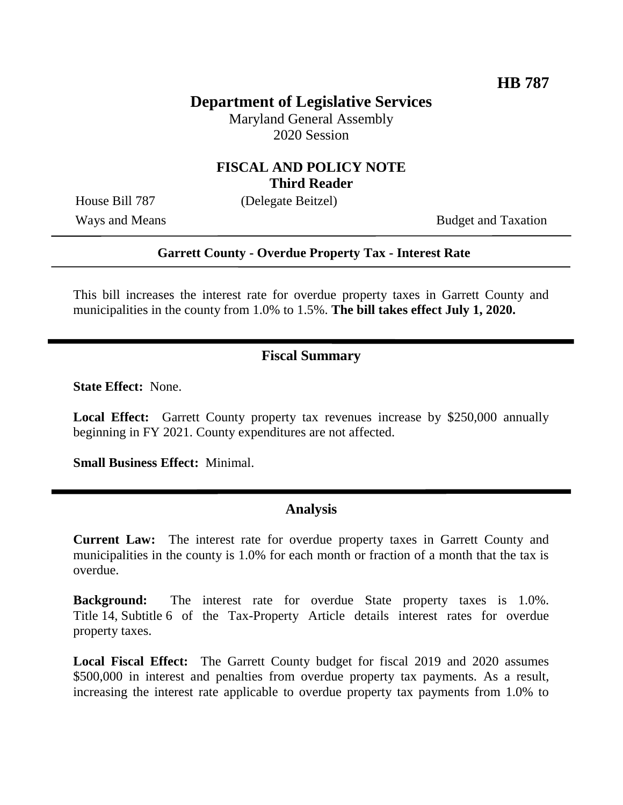# **Department of Legislative Services**

Maryland General Assembly 2020 Session

### **FISCAL AND POLICY NOTE Third Reader**

House Bill 787 (Delegate Beitzel)

Ways and Means Budget and Taxation

#### **Garrett County - Overdue Property Tax - Interest Rate**

This bill increases the interest rate for overdue property taxes in Garrett County and municipalities in the county from 1.0% to 1.5%. **The bill takes effect July 1, 2020.**

## **Fiscal Summary**

**State Effect:** None.

**Local Effect:** Garrett County property tax revenues increase by \$250,000 annually beginning in FY 2021. County expenditures are not affected.

**Small Business Effect:** Minimal.

#### **Analysis**

**Current Law:** The interest rate for overdue property taxes in Garrett County and municipalities in the county is 1.0% for each month or fraction of a month that the tax is overdue.

**Background:** The interest rate for overdue State property taxes is 1.0%. Title 14, Subtitle 6 of the Tax-Property Article details interest rates for overdue property taxes.

**Local Fiscal Effect:** The Garrett County budget for fiscal 2019 and 2020 assumes \$500,000 in interest and penalties from overdue property tax payments. As a result, increasing the interest rate applicable to overdue property tax payments from 1.0% to